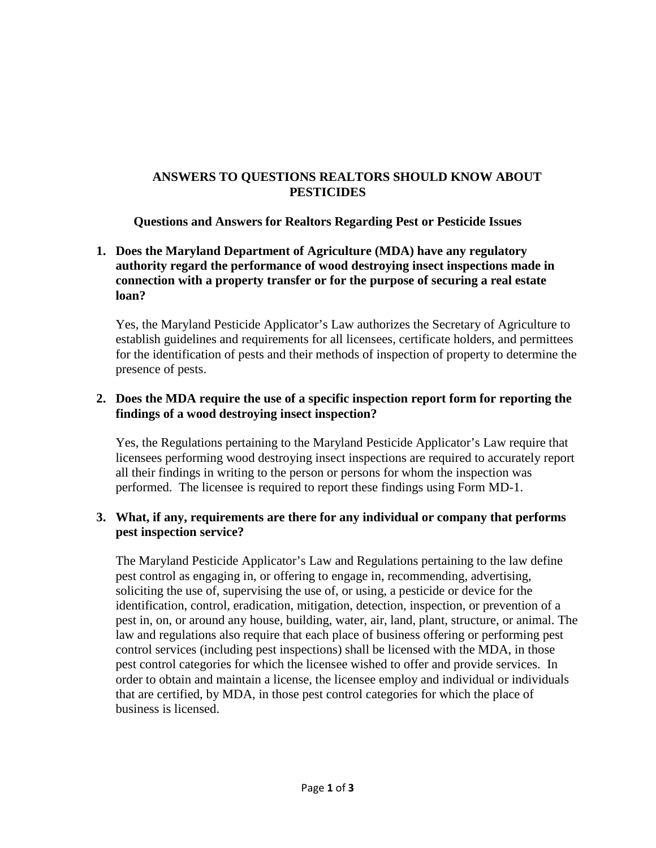# **ANSWERS TO QUESTIONS REALTORS SHOULD KNOW ABOUT PESTICIDES**

**Questions and Answers for Realtors Regarding Pest or Pesticide Issues**

## **1. Does the Maryland Department of Agriculture (MDA) have any regulatory authority regard the performance of wood destroying insect inspections made in connection with a property transfer or for the purpose of securing a real estate loan?**

Yes, the Maryland Pesticide Applicator's Law authorizes the Secretary of Agriculture to establish guidelines and requirements for all licensees, certificate holders, and permittees for the identification of pests and their methods of inspection of property to determine the presence of pests.

## **2. Does the MDA require the use of a specific inspection report form for reporting the findings of a wood destroying insect inspection?**

Yes, the Regulations pertaining to the Maryland Pesticide Applicator's Law require that licensees performing wood destroying insect inspections are required to accurately report all their findings in writing to the person or persons for whom the inspection was performed. The licensee is required to report these findings using Form MD-1.

# **3. What, if any, requirements are there for any individual or company that performs pest inspection service?**

The Maryland Pesticide Applicator's Law and Regulations pertaining to the law define pest control as engaging in, or offering to engage in, recommending, advertising, soliciting the use of, supervising the use of, or using, a pesticide or device for the identification, control, eradication, mitigation, detection, inspection, or prevention of a pest in, on, or around any house, building, water, air, land, plant, structure, or animal. The law and regulations also require that each place of business offering or performing pest control services (including pest inspections) shall be licensed with the MDA, in those pest control categories for which the licensee wished to offer and provide services. In order to obtain and maintain a license, the licensee employ and individual or individuals that are certified, by MDA, in those pest control categories for which the place of business is licensed.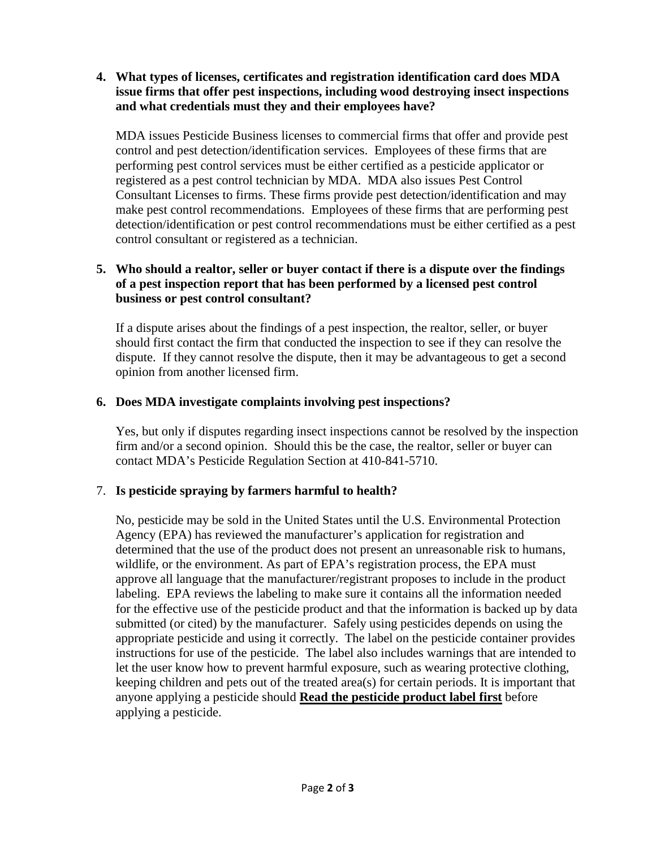### **4. What types of licenses, certificates and registration identification card does MDA issue firms that offer pest inspections, including wood destroying insect inspections and what credentials must they and their employees have?**

MDA issues Pesticide Business licenses to commercial firms that offer and provide pest control and pest detection/identification services. Employees of these firms that are performing pest control services must be either certified as a pesticide applicator or registered as a pest control technician by MDA. MDA also issues Pest Control Consultant Licenses to firms. These firms provide pest detection/identification and may make pest control recommendations. Employees of these firms that are performing pest detection/identification or pest control recommendations must be either certified as a pest control consultant or registered as a technician.

# **5. Who should a realtor, seller or buyer contact if there is a dispute over the findings of a pest inspection report that has been performed by a licensed pest control business or pest control consultant?**

If a dispute arises about the findings of a pest inspection, the realtor, seller, or buyer should first contact the firm that conducted the inspection to see if they can resolve the dispute. If they cannot resolve the dispute, then it may be advantageous to get a second opinion from another licensed firm.

# **6. Does MDA investigate complaints involving pest inspections?**

Yes, but only if disputes regarding insect inspections cannot be resolved by the inspection firm and/or a second opinion. Should this be the case, the realtor, seller or buyer can contact MDA's Pesticide Regulation Section at 410-841-5710.

# 7. **Is pesticide spraying by farmers harmful to health?**

No, pesticide may be sold in the United States until the U.S. Environmental Protection Agency (EPA) has reviewed the manufacturer's application for registration and determined that the use of the product does not present an unreasonable risk to humans, wildlife, or the environment. As part of EPA's registration process, the EPA must approve all language that the manufacturer/registrant proposes to include in the product labeling. EPA reviews the labeling to make sure it contains all the information needed for the effective use of the pesticide product and that the information is backed up by data submitted (or cited) by the manufacturer. Safely using pesticides depends on using the appropriate pesticide and using it correctly. The label on the pesticide container provides instructions for use of the pesticide. The label also includes warnings that are intended to let the user know how to prevent harmful exposure, such as wearing protective clothing, keeping children and pets out of the treated area(s) for certain periods. It is important that anyone applying a pesticide should **Read the pesticide product label first** before applying a pesticide.